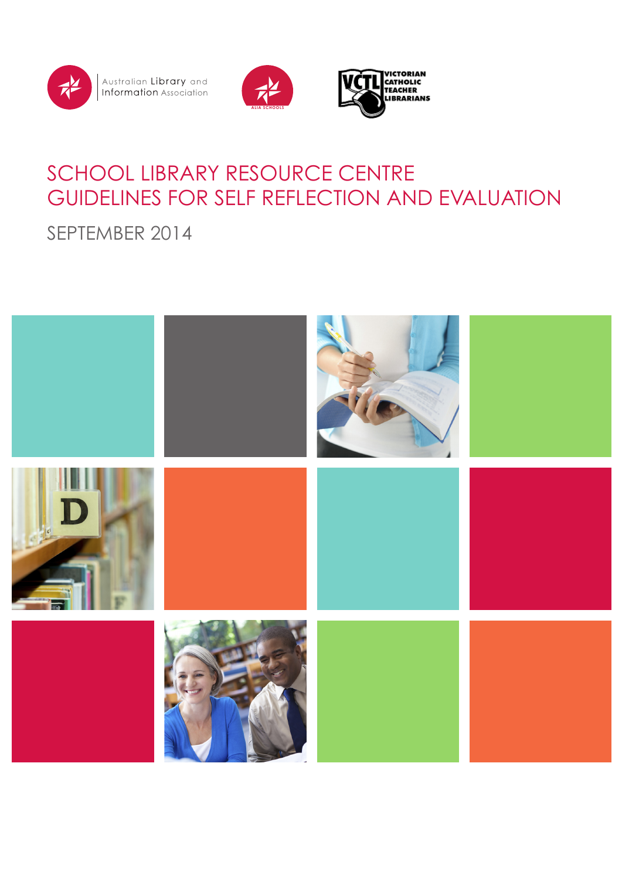

Australian **Library** and<br>**Information** Association





# SCHOOL LIBRARY RESOURCE CENTRE GUIDELINES FOR SELF REFLECTION AND EVALUATION

SEPTEMBER 2014

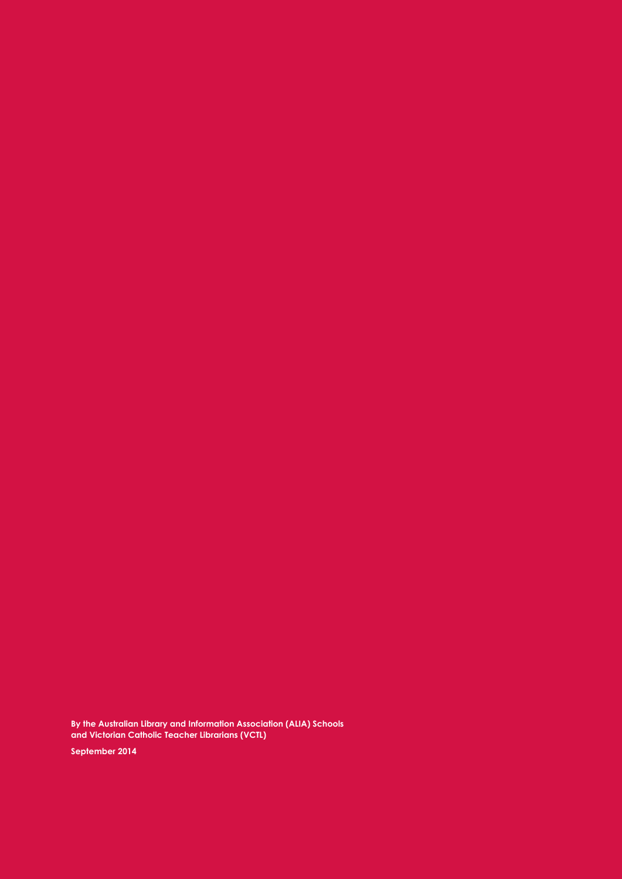**By the Australian Library and Information Association (ALIA) Schools and Victorian Catholic Teacher Librarians (VCTL) September 2014**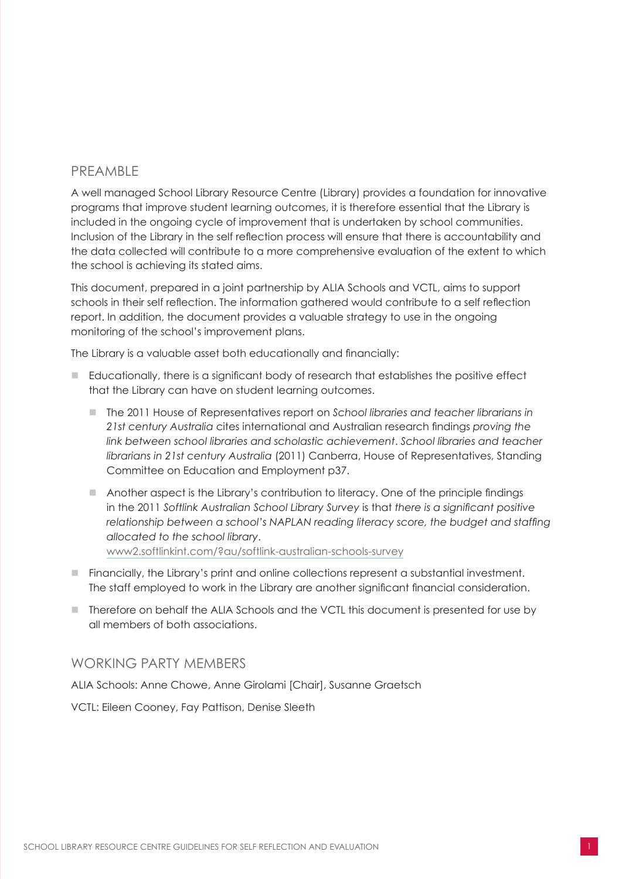### <span id="page-2-0"></span>PREAMBLE

A well managed School Library Resource Centre (Library) provides a foundation for innovative programs that improve student learning outcomes, it is therefore essential that the Library is included in the ongoing cycle of improvement that is undertaken by school communities. Inclusion of the Library in the self reflection process will ensure that there is accountability and the data collected will contribute to a more comprehensive evaluation of the extent to which the school is achieving its stated aims.

This document, prepared in a joint partnership by ALIA Schools and VCTL, aims to support schools in their self reflection. The information gathered would contribute to a self reflection report. In addition, the document provides a valuable strategy to use in the ongoing monitoring of the school's improvement plans.

The Library is a valuable asset both educationally and financially:

- n Educationally, there is a significant body of research that establishes the positive effect that the Library can have on student learning outcomes.
	- The 2011 House of Representatives report on *School libraries and teacher librarians in 21st century Australia* cites international and Australian research findings *proving the link between school libraries and scholastic achievement*. *School libraries and teacher librarians in 21st century Australia* (2011) Canberra, House of Representatives, Standing Committee on Education and Employment p37.
	- $\blacksquare$  Another aspect is the Library's contribution to literacy. One of the principle findings in the 2011 *Softlink Australian School Library Survey* is that *there is a significant positive relationship between a school's NAPLAN reading literacy score, the budget and staffing allocated to the school library*. www2.softlinkint.com/?au/softlink-australian-schools-survey
- n Financially, the Library's print and online collections represent a substantial investment. The staff employed to work in the Library are another significant financial consideration.
- Therefore on behalf the ALIA Schools and the VCTL this document is presented for use by all members of both associations.

#### WORKING PARTY MEMBERS

ALIA Schools: Anne Chowe, Anne Girolami [Chair], Susanne Graetsch

VCTL: Eileen Cooney, Fay Pattison, Denise Sleeth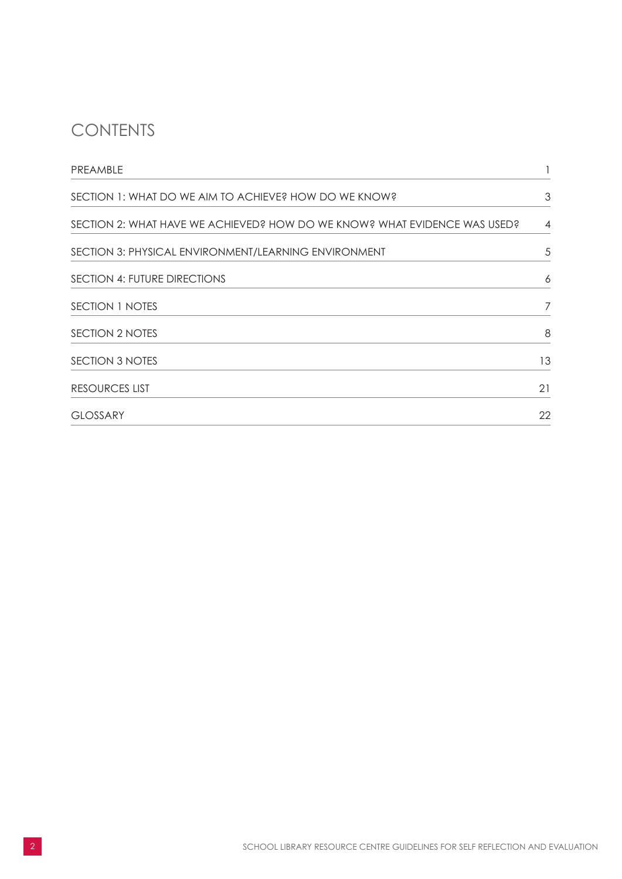# **CONTENTS**

| PREAMBLE                                                                  |                |
|---------------------------------------------------------------------------|----------------|
| SECTION 1: WHAT DO WE AIM TO ACHIEVE? HOW DO WE KNOW?                     | 3              |
| SECTION 2: WHAT HAVE WE ACHIEVED? HOW DO WE KNOW? WHAT EVIDENCE WAS USED? | $\overline{4}$ |
| SECTION 3: PHYSICAL ENVIRONMENT/LEARNING ENVIRONMENT                      | 5              |
| SECTION 4: FUTURE DIRECTIONS                                              | 6              |
| SECTION 1 NOTES                                                           | 7              |
| SECTION 2 NOTES                                                           | 8              |
| <b>SECTION 3 NOTES</b>                                                    | 13             |
| <b>RESOURCES LIST</b>                                                     | 21             |
| <b>GLOSSARY</b>                                                           | 22             |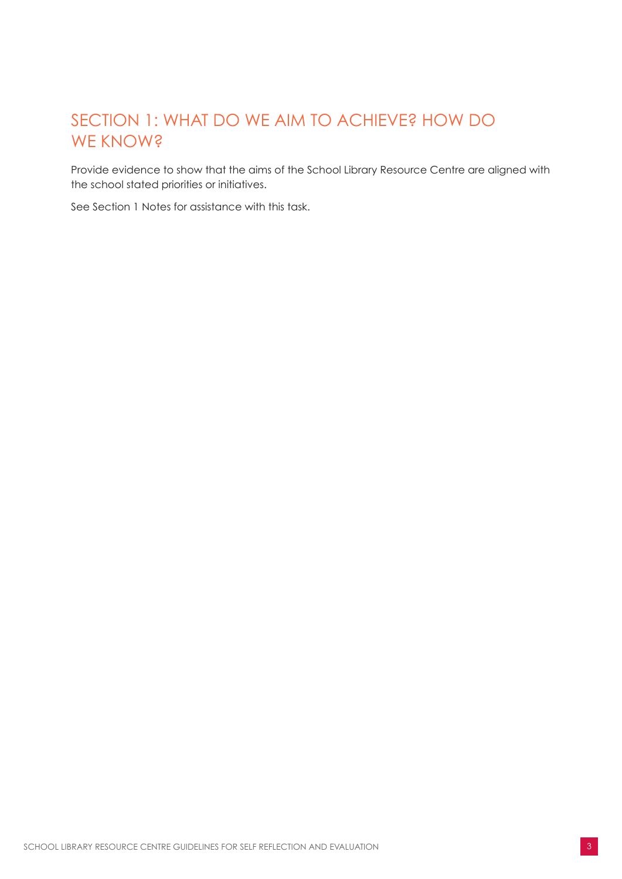# <span id="page-4-0"></span>SECTION 1: WHAT DO WE AIM TO ACHIEVE? HOW DO WE KNOW?

Provide evidence to show that the aims of the School Library Resource Centre are aligned with the school stated priorities or initiatives.

See Section 1 Notes for assistance with this task.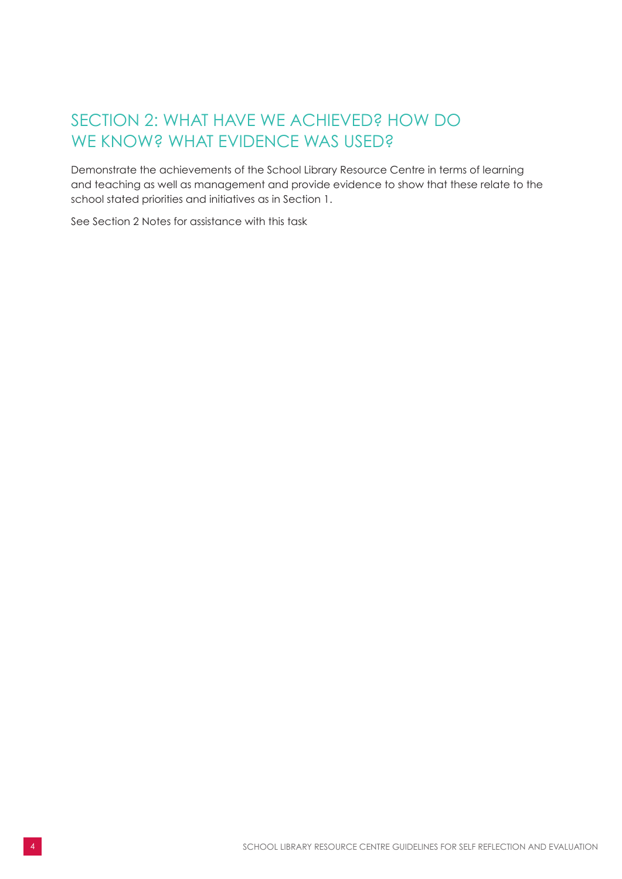# <span id="page-5-0"></span>SECTION 2: WHAT HAVE WE ACHIEVED? HOW DO WE KNOW? WHAT EVIDENCE WAS USED?

Demonstrate the achievements of the School Library Resource Centre in terms of learning and teaching as well as management and provide evidence to show that these relate to the school stated priorities and initiatives as in Section 1.

See Section 2 Notes for assistance with this task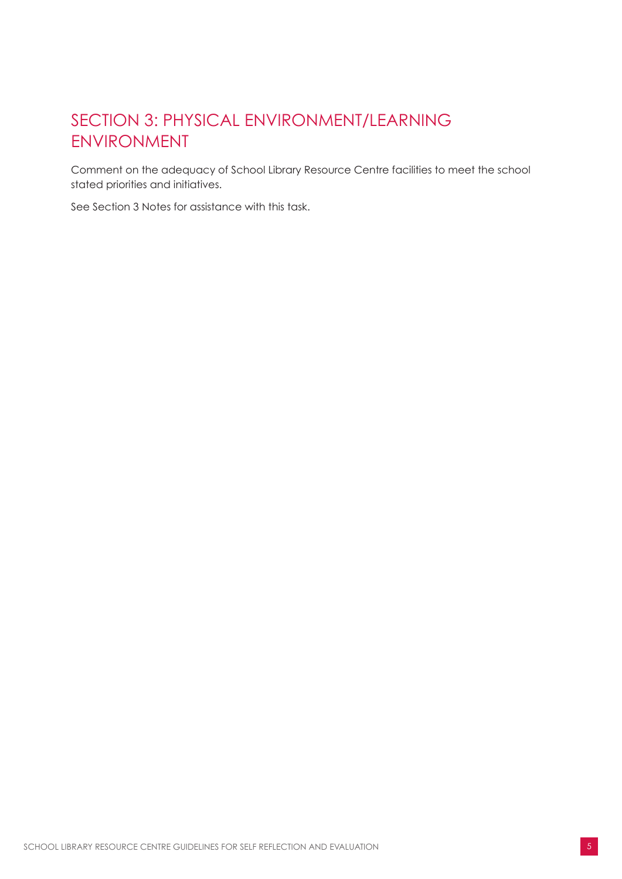# <span id="page-6-0"></span>SECTION 3: PHYSICAL ENVIRONMENT/LEARNING ENVIRONMENT

Comment on the adequacy of School Library Resource Centre facilities to meet the school stated priorities and initiatives.

See Section 3 Notes for assistance with this task.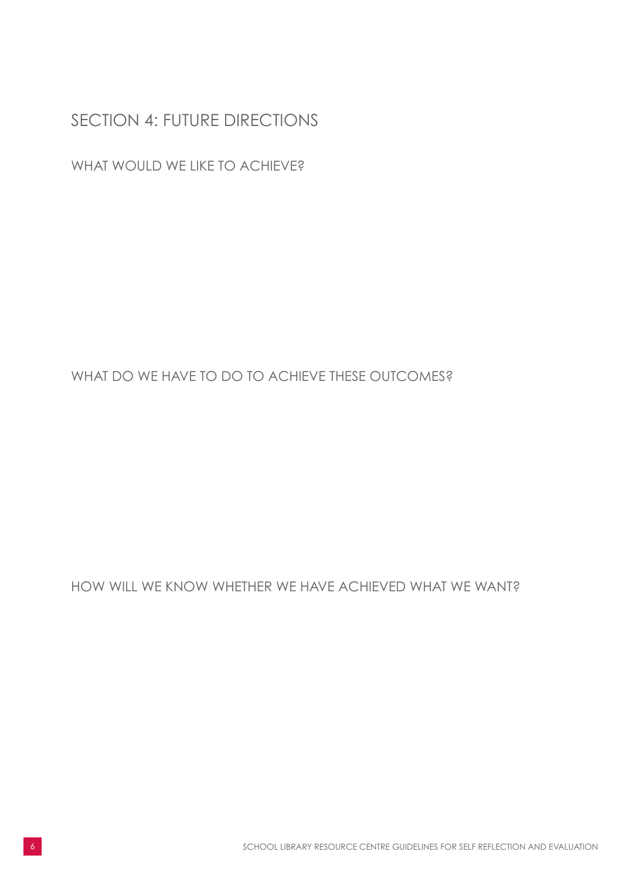### <span id="page-7-0"></span>SECTION 4: FUTURE DIRECTIONS

WHAT WOULD WE LIKE TO ACHIEVE?

WHAT DO WE HAVE TO DO TO ACHIEVE THESE OUTCOMES?

HOW WILL WE KNOW WHETHER WE HAVE ACHIEVED WHAT WE WANT?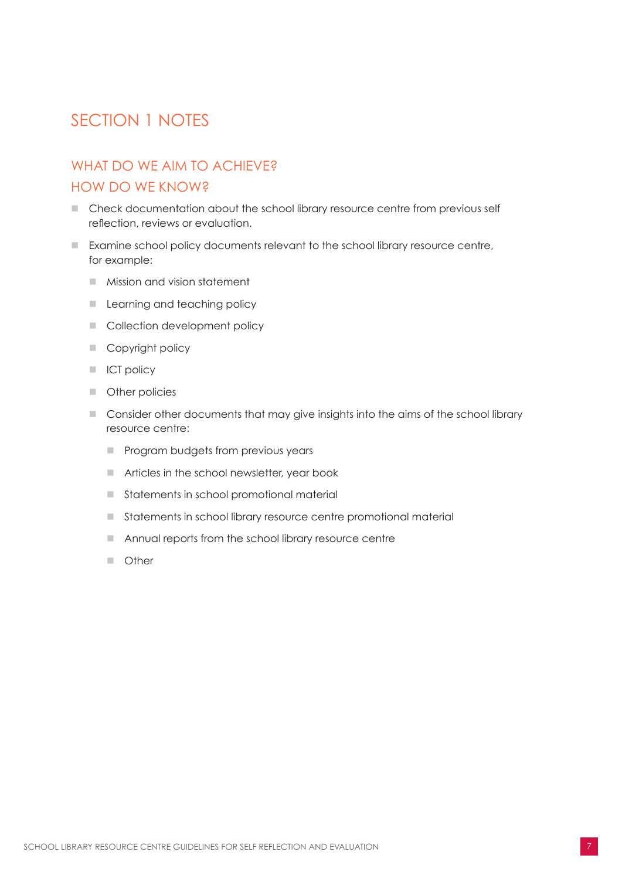## <span id="page-8-0"></span>SECTION 1 NOTES

### WHAT DO WE AIM TO ACHIEVE? HOW DO WE KNOW?

- Check documentation about the school library resource centre from previous self reflection, reviews or evaluation.
- Examine school policy documents relevant to the school library resource centre, for example:
	- Mission and vision statement
	- **E** Learning and teaching policy
	- **n** Collection development policy
	- Copyright policy
	- **n** ICT policy
	- **n** Other policies
	- **n** Consider other documents that may give insights into the aims of the school library resource centre:
		- **n** Program budgets from previous years
		- $\blacksquare$  Articles in the school newsletter, year book
		- $\blacksquare$  Statements in school promotional material
		- Statements in school library resource centre promotional material
		- $\blacksquare$  Annual reports from the school library resource centre
		- n Other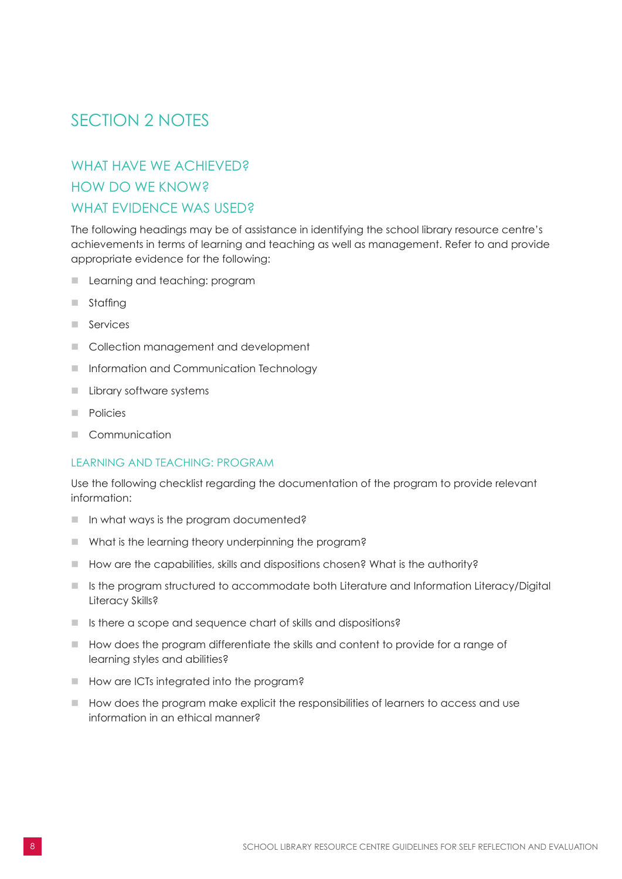## <span id="page-9-0"></span>SECTION 2 NOTES

### WHAT HAVE WE ACHIEVED? HOW DO WE KNOW? WHAT EVIDENCE WAS USED?

The following headings may be of assistance in identifying the school library resource centre's achievements in terms of learning and teaching as well as management. Refer to and provide appropriate evidence for the following:

- **n** Learning and teaching: program
- $\blacksquare$  Staffing
- $\blacksquare$  Services
- Collection management and development
- **n** Information and Communication Technology
- **n** Library software systems
- **n** Policies
- Communication

#### LEARNING AND TEACHING: PROGRAM

Use the following checklist regarding the documentation of the program to provide relevant information:

- $\blacksquare$  In what ways is the program documented?
- $\blacksquare$  What is the learning theory underpinning the program?
- $\blacksquare$  How are the capabilities, skills and dispositions chosen? What is the authority?
- **n** Is the program structured to accommodate both Literature and Information Literacy/Digital Literacy Skills?
- $\blacksquare$  Is there a scope and sequence chart of skills and dispositions?
- $\blacksquare$  How does the program differentiate the skills and content to provide for a range of learning styles and abilities?
- How are ICTs integrated into the program?
- $\blacksquare$  How does the program make explicit the responsibilities of learners to access and use information in an ethical manner?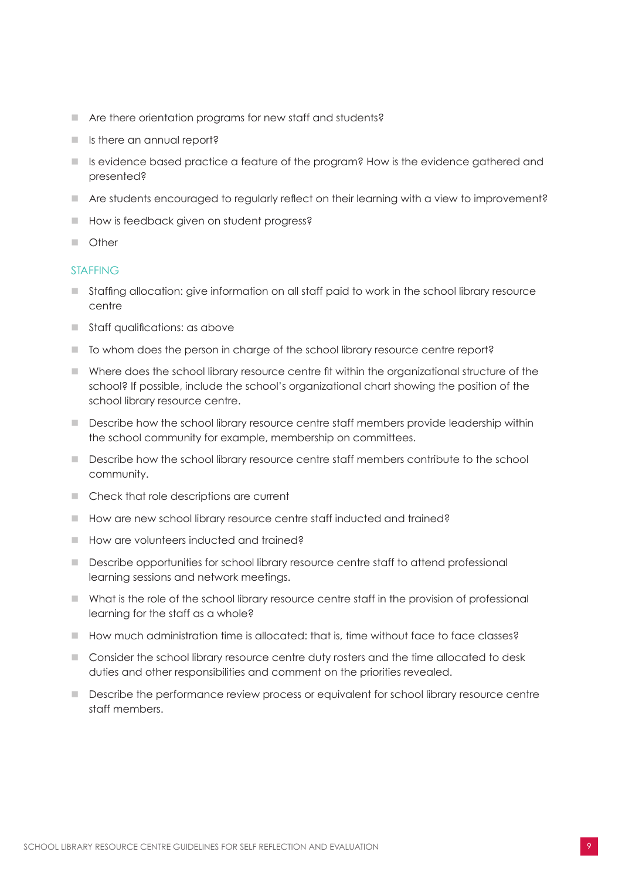- $\blacksquare$  Are there orientation programs for new staff and students?
- $\blacksquare$  Is there an annual report?
- Is evidence based practice a feature of the program? How is the evidence gathered and presented?
- Are students encouraged to regularly reflect on their learning with a view to improvement?
- How is feedback given on student progress?
- n Other

#### STAFFING

- Staffing allocation: give information on all staff paid to work in the school library resource centre
- $\blacksquare$  Staff qualifications: as above
- To whom does the person in charge of the school library resource centre report?
- n Where does the school library resource centre fit within the organizational structure of the school? If possible, include the school's organizational chart showing the position of the school library resource centre.
- Describe how the school library resource centre staff members provide leadership within the school community for example, membership on committees.
- **n** Describe how the school library resource centre staff members contribute to the school community.
- Check that role descriptions are current
- How are new school library resource centre staff inducted and trained?
- How are volunteers inducted and trained?
- **n** Describe opportunities for school library resource centre staff to attend professional learning sessions and network meetings.
- $\blacksquare$  What is the role of the school library resource centre staff in the provision of professional learning for the staff as a whole?
- $\blacksquare$  How much administration time is allocated: that is, time without face to face classes?
- Consider the school library resource centre duty rosters and the time allocated to desk duties and other responsibilities and comment on the priorities revealed.
- **n** Describe the performance review process or equivalent for school library resource centre staff members.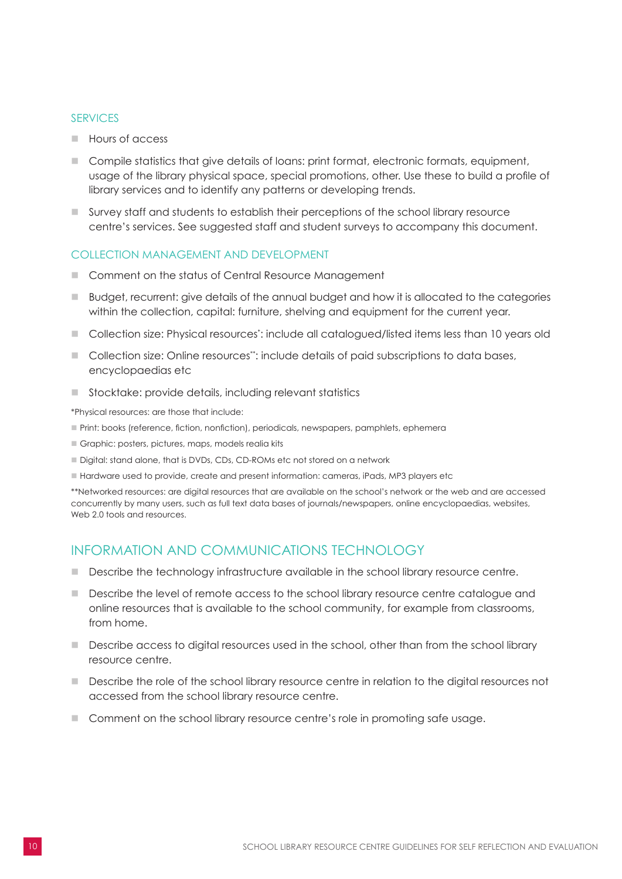#### **SERVICES**

- **n** Hours of access
- Compile statistics that give details of loans: print format, electronic formats, equipment, usage of the library physical space, special promotions, other. Use these to build a profile of library services and to identify any patterns or developing trends.
- n Survey staff and students to establish their perceptions of the school library resource centre's services. See suggested staff and student surveys to accompany this document.

#### COLLECTION MANAGEMENT AND DEVELOPMENT

- Comment on the status of Central Resource Management
- n Budget, recurrent: give details of the annual budget and how it is allocated to the categories within the collection, capital: furniture, shelving and equipment for the current year.
- **n** Collection size: Physical resources<sup>\*</sup>: include all catalogued/listed items less than 10 years old
- **n** Collection size: Online resources\*\*: include details of paid subscriptions to data bases, encyclopaedias etc
- $\blacksquare$  Stocktake: provide details, including relevant statistics

\*Physical resources: are those that include:

- n Print: books (reference, fiction, nonfiction), periodicals, newspapers, pamphlets, ephemera
- n Graphic: posters, pictures, maps, models realia kits
- Digital: stand alone, that is DVDs, CDs, CD-ROMs etc not stored on a network
- Hardware used to provide, create and present information: cameras, iPads, MP3 players etc

\*\*Networked resources: are digital resources that are available on the school's network or the web and are accessed concurrently by many users, such as full text data bases of journals/newspapers, online encyclopaedias, websites, Web 2.0 tools and resources.

### INFORMATION AND COMMUNICATIONS TECHNOLOGY

- **n** Describe the technology infrastructure available in the school library resource centre.
- **n** Describe the level of remote access to the school library resource centre catalogue and online resources that is available to the school community, for example from classrooms, from home.
- Describe access to digital resources used in the school, other than from the school library resource centre.
- **n** Describe the role of the school library resource centre in relation to the digital resources not accessed from the school library resource centre.
- **n** Comment on the school library resource centre's role in promoting safe usage.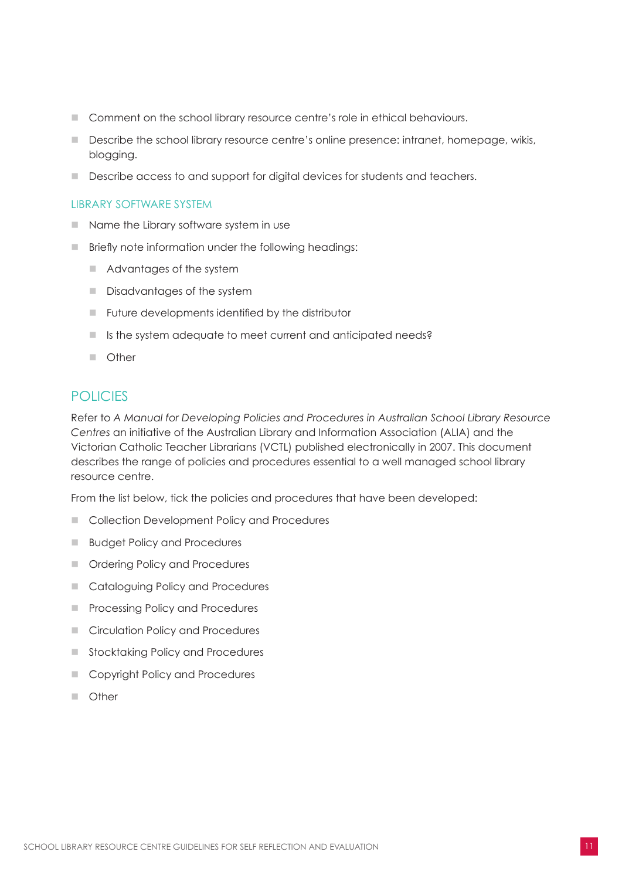- **n** Comment on the school library resource centre's role in ethical behaviours.
- **n** Describe the school library resource centre's online presence: intranet, homepage, wikis, blogging.
- Describe access to and support for digital devices for students and teachers.

#### LIBRARY SOFTWARE SYSTEM

- $\blacksquare$  Name the Library software system in use
- **n** Briefly note information under the following headings:
	- $\blacksquare$  Advantages of the system
	- Disadvantages of the system
	- $\blacksquare$  Future developments identified by the distributor
	- Is the system adequate to meet current and anticipated needs?
	- **n** Other

### **POLICIES**

Refer to *A Manual for Developing Policies and Procedures in Australian School Library Resource Centres* an initiative of the Australian Library and Information Association (ALIA) and the Victorian Catholic Teacher Librarians (VCTL) published electronically in 2007. This document describes the range of policies and procedures essential to a well managed school library resource centre.

From the list below, tick the policies and procedures that have been developed:

- Collection Development Policy and Procedures
- **n** Budget Policy and Procedures
- n Ordering Policy and Procedures
- Cataloguing Policy and Procedures
- **n** Processing Policy and Procedures
- n Circulation Policy and Procedures
- Stocktaking Policy and Procedures
- Copyright Policy and Procedures
- Other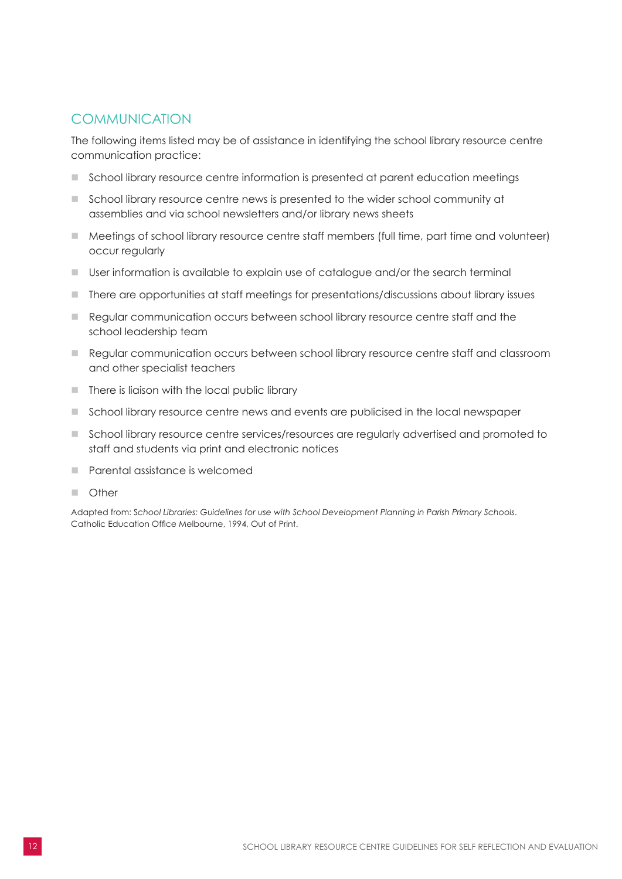### **COMMUNICATION**

The following items listed may be of assistance in identifying the school library resource centre communication practice:

- n School library resource centre information is presented at parent education meetings
- School library resource centre news is presented to the wider school community at assemblies and via school newsletters and/or library news sheets
- Meetings of school library resource centre staff members (full time, part time and volunteer) occur regularly
- $\Box$  User information is available to explain use of catalogue and/or the search terminal
- $\blacksquare$  There are opportunities at staff meetings for presentations/discussions about library issues
- Regular communication occurs between school library resource centre staff and the school leadership team
- n Regular communication occurs between school library resource centre staff and classroom and other specialist teachers
- $\blacksquare$  There is liaison with the local public library
- **n** School library resource centre news and events are publicised in the local newspaper
- **n** School library resource centre services/resources are regularly advertised and promoted to staff and students via print and electronic notices
- n Parental assistance is welcomed
- n Other

Adapted from: S*chool Libraries: Guidelines for use with School Development Planning in Parish Primary Schools*. Catholic Education Office Melbourne, 1994, Out of Print.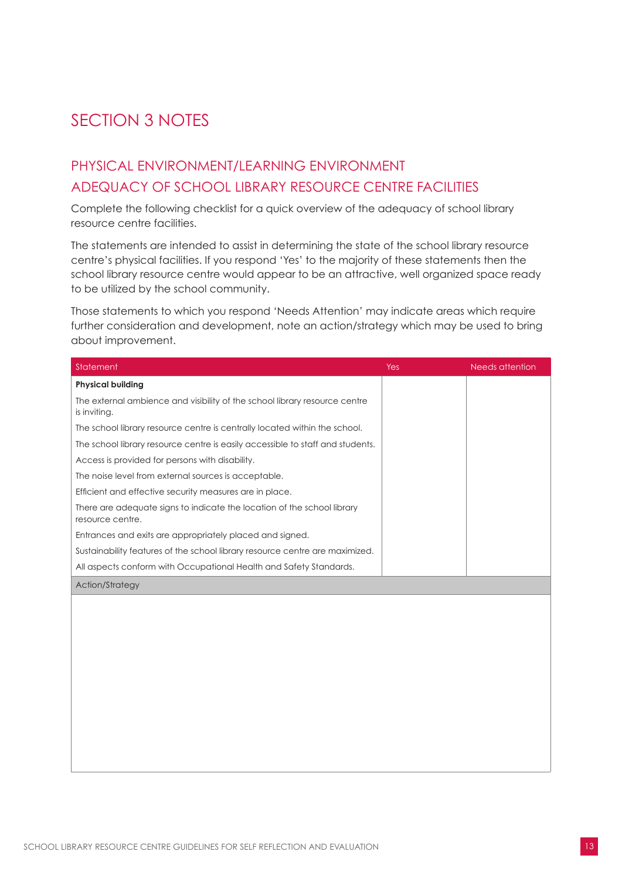# <span id="page-14-0"></span>SECTION 3 NOTES

### PHYSICAL ENVIRONMENT/LEARNING ENVIRONMENT ADEQUACY OF SCHOOL LIBRARY RESOURCE CENTRE FACILITIES

Complete the following checklist for a quick overview of the adequacy of school library resource centre facilities.

The statements are intended to assist in determining the state of the school library resource centre's physical facilities. If you respond 'Yes' to the majority of these statements then the school library resource centre would appear to be an attractive, well organized space ready to be utilized by the school community.

Those statements to which you respond 'Needs Attention' may indicate areas which require further consideration and development, note an action/strategy which may be used to bring about improvement.

| Statement                                                                                   | Yes | Needs attention |
|---------------------------------------------------------------------------------------------|-----|-----------------|
| <b>Physical building</b>                                                                    |     |                 |
| The external ambience and visibility of the school library resource centre<br>is inviting.  |     |                 |
| The school library resource centre is centrally located within the school.                  |     |                 |
| The school library resource centre is easily accessible to staff and students.              |     |                 |
| Access is provided for persons with disability.                                             |     |                 |
| The noise level from external sources is acceptable.                                        |     |                 |
| Efficient and effective security measures are in place.                                     |     |                 |
| There are adequate signs to indicate the location of the school library<br>resource centre. |     |                 |
| Entrances and exits are appropriately placed and signed.                                    |     |                 |
| Sustainability features of the school library resource centre are maximized.                |     |                 |
| All aspects conform with Occupational Health and Safety Standards.                          |     |                 |
| <b>Action/Strategy</b>                                                                      |     |                 |
|                                                                                             |     |                 |
|                                                                                             |     |                 |
|                                                                                             |     |                 |
|                                                                                             |     |                 |
|                                                                                             |     |                 |
|                                                                                             |     |                 |
|                                                                                             |     |                 |
|                                                                                             |     |                 |
|                                                                                             |     |                 |
|                                                                                             |     |                 |
|                                                                                             |     |                 |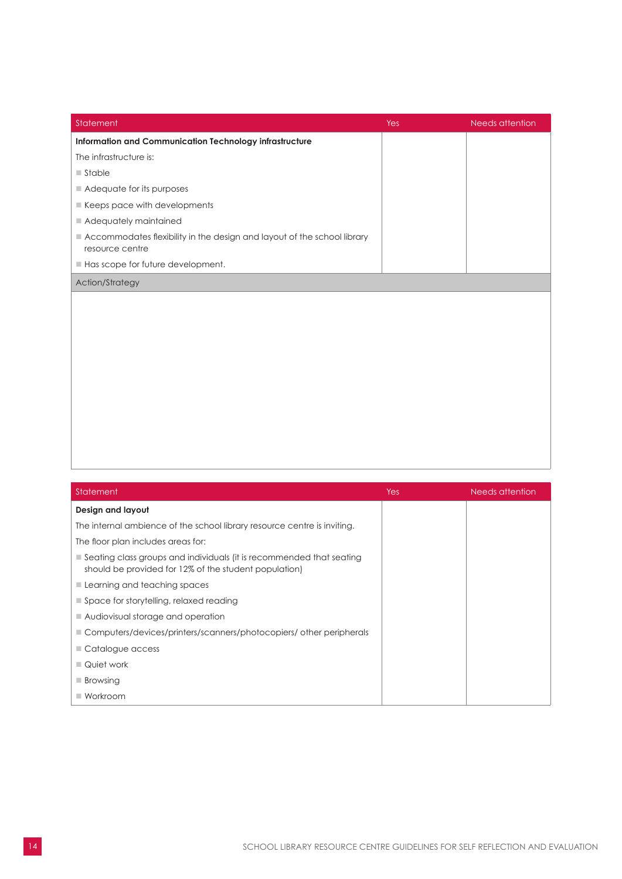| Statement                                                                                  | <b>Yes</b> | Needs attention |
|--------------------------------------------------------------------------------------------|------------|-----------------|
| Information and Communication Technology infrastructure                                    |            |                 |
| The infrastructure is:                                                                     |            |                 |
| $\blacksquare$ Stable                                                                      |            |                 |
| Adequate for its purposes                                                                  |            |                 |
| Keeps pace with developments                                                               |            |                 |
| Adequately maintained                                                                      |            |                 |
| Accommodates flexibility in the design and layout of the school library<br>resource centre |            |                 |
| Has scope for future development.                                                          |            |                 |
| Action/Strategy                                                                            |            |                 |
|                                                                                            |            |                 |
|                                                                                            |            |                 |
|                                                                                            |            |                 |
|                                                                                            |            |                 |
|                                                                                            |            |                 |
|                                                                                            |            |                 |
|                                                                                            |            |                 |
|                                                                                            |            |                 |
|                                                                                            |            |                 |
|                                                                                            |            |                 |
|                                                                                            |            |                 |

| Statement                                                                                                                     | Yes | Needs attention |
|-------------------------------------------------------------------------------------------------------------------------------|-----|-----------------|
| Design and layout                                                                                                             |     |                 |
| The internal ambience of the school library resource centre is inviting.                                                      |     |                 |
| The floor plan includes areas for:                                                                                            |     |                 |
| Seating class groups and individuals (it is recommended that seating<br>should be provided for 12% of the student population) |     |                 |
| Learning and teaching spaces                                                                                                  |     |                 |
| $\blacksquare$ Space for storytelling, relaxed reading                                                                        |     |                 |
| ■ Audiovisual storage and operation                                                                                           |     |                 |
| Computers/devices/printers/scanners/photocopiers/ other peripherals                                                           |     |                 |
| Catalogue access                                                                                                              |     |                 |
| ■ Quiet work                                                                                                                  |     |                 |
| $\blacksquare$ Browsing                                                                                                       |     |                 |
| $\blacksquare$ Workroom                                                                                                       |     |                 |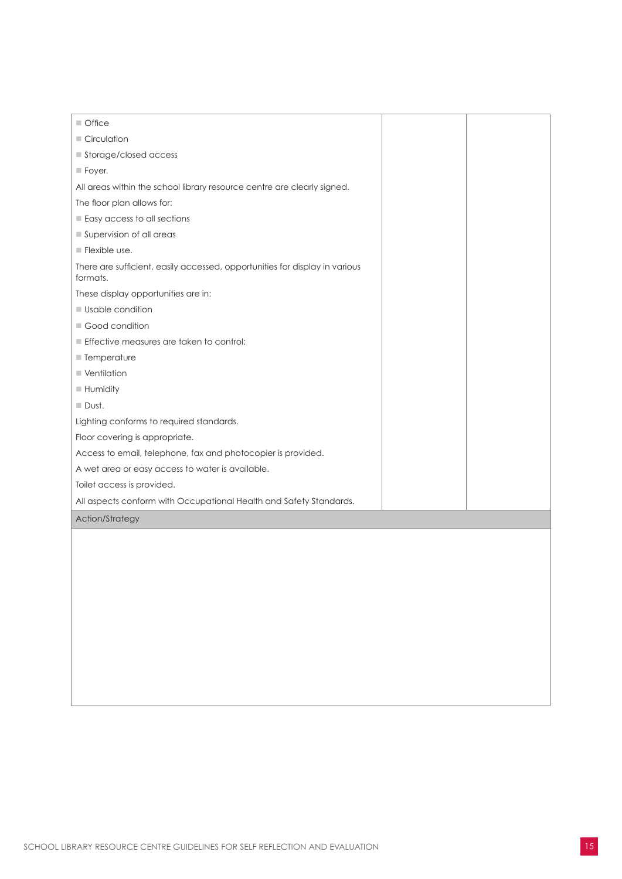| $\blacksquare$ Office                                                                   |  |
|-----------------------------------------------------------------------------------------|--|
| Circulation                                                                             |  |
| Storage/closed access                                                                   |  |
| $\blacksquare$ Foyer.                                                                   |  |
| All areas within the school library resource centre are clearly signed.                 |  |
| The floor plan allows for:                                                              |  |
| Easy access to all sections                                                             |  |
| Supervision of all areas                                                                |  |
| $\blacksquare$ Flexible use.                                                            |  |
| There are sufficient, easily accessed, opportunities for display in various<br>formats. |  |
| These display opportunities are in:                                                     |  |
| <b>Usable condition</b>                                                                 |  |
| Good condition                                                                          |  |
| Effective measures are taken to control:                                                |  |
| ■ Temperature                                                                           |  |
| ■ Ventilation                                                                           |  |
| <b>Humidity</b>                                                                         |  |
| $\Box$ Dust.                                                                            |  |
| Lighting conforms to required standards.                                                |  |
| Floor covering is appropriate.                                                          |  |
| Access to email, telephone, fax and photocopier is provided.                            |  |
| A wet area or easy access to water is available.                                        |  |
| Toilet access is provided.                                                              |  |
| All aspects conform with Occupational Health and Safety Standards.                      |  |
| Action/Strategy                                                                         |  |
|                                                                                         |  |
|                                                                                         |  |
|                                                                                         |  |
|                                                                                         |  |
|                                                                                         |  |
|                                                                                         |  |
|                                                                                         |  |
|                                                                                         |  |
|                                                                                         |  |
|                                                                                         |  |
|                                                                                         |  |
|                                                                                         |  |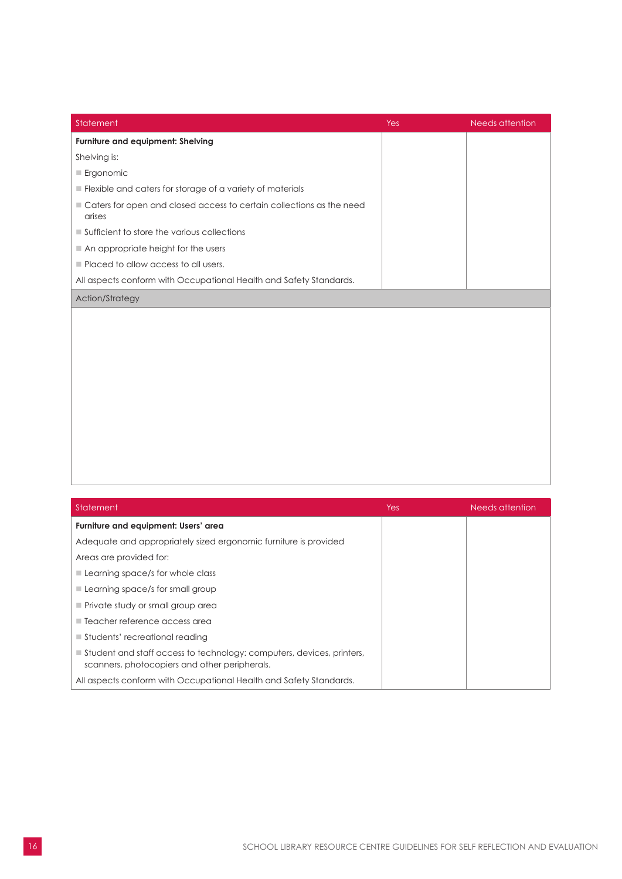| Statement                                                                      | Yes | <b>Needs attention</b> |
|--------------------------------------------------------------------------------|-----|------------------------|
| Furniture and equipment: Shelving                                              |     |                        |
| Shelving is:                                                                   |     |                        |
| Ergonomic                                                                      |     |                        |
| Flexible and caters for storage of a variety of materials                      |     |                        |
| Caters for open and closed access to certain collections as the need<br>arises |     |                        |
| Sufficient to store the various collections                                    |     |                        |
| An appropriate height for the users                                            |     |                        |
| Placed to allow access to all users.                                           |     |                        |
| All aspects conform with Occupational Health and Safety Standards.             |     |                        |
| Action/Strategy                                                                |     |                        |
|                                                                                |     |                        |
|                                                                                |     |                        |
|                                                                                |     |                        |
|                                                                                |     |                        |
|                                                                                |     |                        |
|                                                                                |     |                        |
|                                                                                |     |                        |
|                                                                                |     |                        |
|                                                                                |     |                        |
|                                                                                |     |                        |
|                                                                                |     |                        |

| Statement                                                                                                              | <b>Yes</b> | Needs attention |
|------------------------------------------------------------------------------------------------------------------------|------------|-----------------|
| Furniture and equipment: Users' area                                                                                   |            |                 |
| Adequate and appropriately sized ergonomic furniture is provided                                                       |            |                 |
| Areas are provided for:                                                                                                |            |                 |
| $\blacksquare$ Learning space/s for whole class                                                                        |            |                 |
| $\blacksquare$ Learning space/s for small group                                                                        |            |                 |
| Private study or small group area                                                                                      |            |                 |
| $\blacksquare$ Teacher reference access area                                                                           |            |                 |
| $\blacksquare$ Students' recreational reading                                                                          |            |                 |
| Student and staff access to technology: computers, devices, printers,<br>scanners, photocopiers and other peripherals. |            |                 |
| All aspects conform with Occupational Health and Safety Standards.                                                     |            |                 |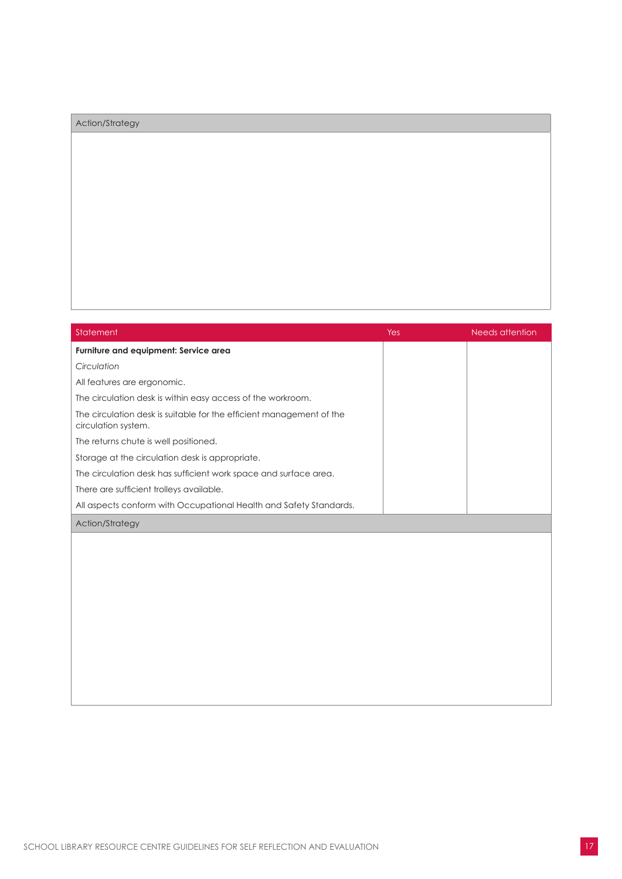### Action/Strategy

| Statement                                                                                   | Yes | Needs attention |
|---------------------------------------------------------------------------------------------|-----|-----------------|
| Furniture and equipment: Service area                                                       |     |                 |
| Circulation                                                                                 |     |                 |
| All features are ergonomic.                                                                 |     |                 |
| The circulation desk is within easy access of the workroom.                                 |     |                 |
| The circulation desk is suitable for the efficient management of the<br>circulation system. |     |                 |
| The returns chute is well positioned.                                                       |     |                 |
| Storage at the circulation desk is appropriate.                                             |     |                 |
| The circulation desk has sufficient work space and surface area.                            |     |                 |
| There are sufficient trolleys available.                                                    |     |                 |
| All aspects conform with Occupational Health and Safety Standards.                          |     |                 |
| <b>Action/Strategy</b>                                                                      |     |                 |
|                                                                                             |     |                 |
|                                                                                             |     |                 |
|                                                                                             |     |                 |
|                                                                                             |     |                 |
|                                                                                             |     |                 |
|                                                                                             |     |                 |
|                                                                                             |     |                 |
|                                                                                             |     |                 |
|                                                                                             |     |                 |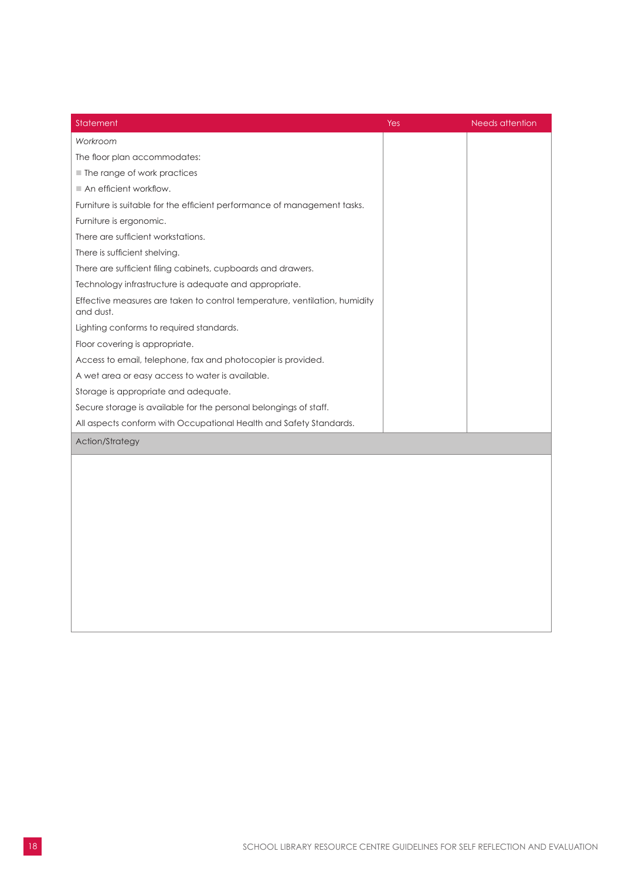| Statement                                                                               | Yes | <b>Needs attention</b> |
|-----------------------------------------------------------------------------------------|-----|------------------------|
| Workroom                                                                                |     |                        |
| The floor plan accommodates:                                                            |     |                        |
| ■ The range of work practices                                                           |     |                        |
| $\blacksquare$ An efficient workflow.                                                   |     |                        |
| Furniture is suitable for the efficient performance of management tasks.                |     |                        |
| Furniture is ergonomic.                                                                 |     |                        |
| There are sufficient workstations.                                                      |     |                        |
| There is sufficient shelving.                                                           |     |                        |
| There are sufficient filing cabinets, cupboards and drawers.                            |     |                        |
| Technology infrastructure is adequate and appropriate.                                  |     |                        |
| Effective measures are taken to control temperature, ventilation, humidity<br>and dust. |     |                        |
| Lighting conforms to required standards.                                                |     |                        |
| Floor covering is appropriate.                                                          |     |                        |
| Access to email, telephone, fax and photocopier is provided.                            |     |                        |
| A wet area or easy access to water is available.                                        |     |                        |
| Storage is appropriate and adequate.                                                    |     |                        |
| Secure storage is available for the personal belongings of staff.                       |     |                        |
| All aspects conform with Occupational Health and Safety Standards.                      |     |                        |
| Action/Strategy                                                                         |     |                        |
|                                                                                         |     |                        |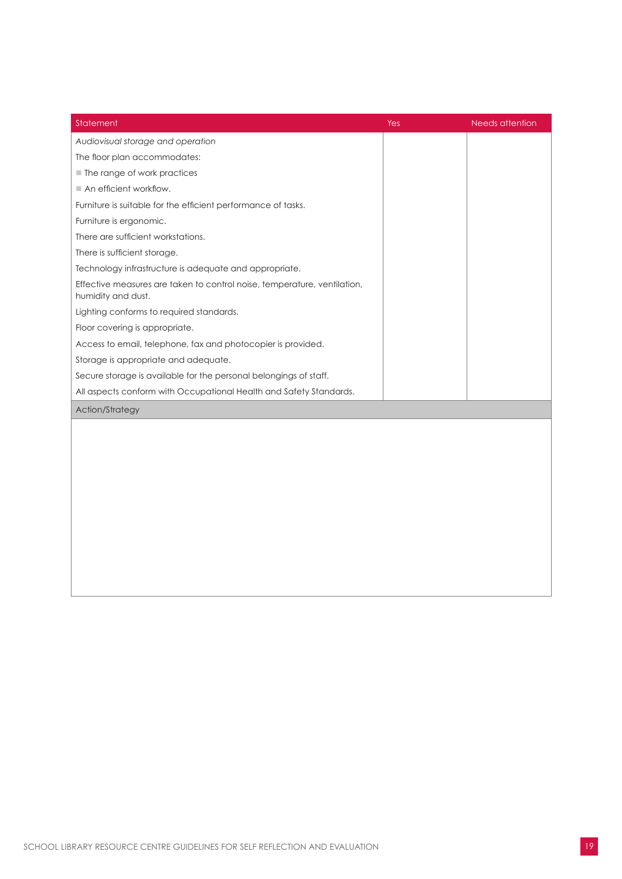<span id="page-20-0"></span>

| Statement                                                                                      | Yes | Needs attention |
|------------------------------------------------------------------------------------------------|-----|-----------------|
| Audiovisual storage and operation                                                              |     |                 |
| The floor plan accommodates:                                                                   |     |                 |
| ■ The range of work practices                                                                  |     |                 |
| An efficient workflow.                                                                         |     |                 |
| Furniture is suitable for the efficient performance of tasks.                                  |     |                 |
| Furniture is ergonomic.                                                                        |     |                 |
| There are sufficient workstations.                                                             |     |                 |
| There is sufficient storage.                                                                   |     |                 |
| Technology infrastructure is adequate and appropriate.                                         |     |                 |
| Effective measures are taken to control noise, temperature, ventilation,<br>humidity and dust. |     |                 |
| Lighting conforms to required standards.                                                       |     |                 |
| Floor covering is appropriate.                                                                 |     |                 |
| Access to email, telephone, fax and photocopier is provided.                                   |     |                 |
| Storage is appropriate and adequate.                                                           |     |                 |
| Secure storage is available for the personal belongings of staff.                              |     |                 |
| All aspects conform with Occupational Health and Safety Standards.                             |     |                 |
| Action/Strategy                                                                                |     |                 |
|                                                                                                |     |                 |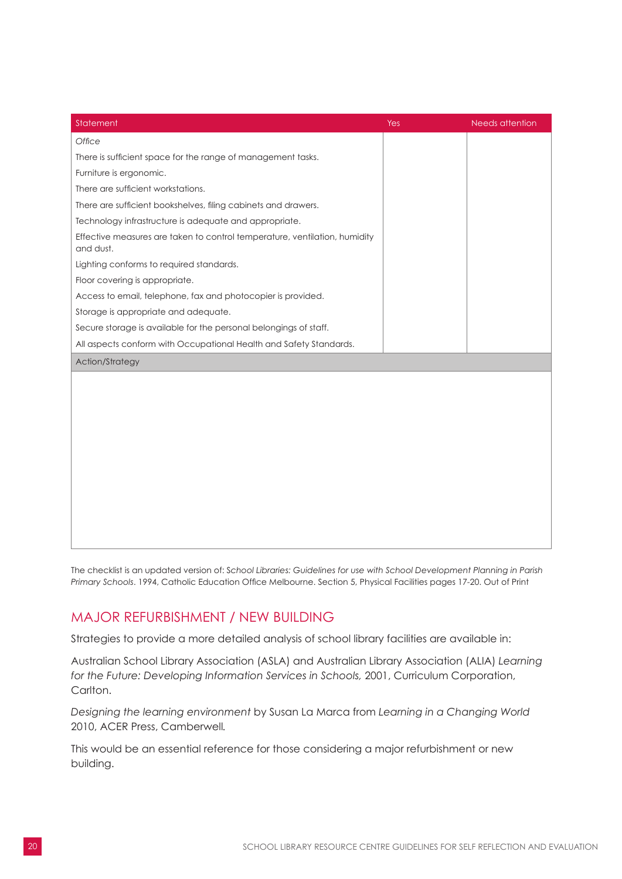<span id="page-21-0"></span>

| Statement                                                                               | Yes | <b>Needs attention</b> |
|-----------------------------------------------------------------------------------------|-----|------------------------|
| Office                                                                                  |     |                        |
| There is sufficient space for the range of management tasks.                            |     |                        |
| Furniture is ergonomic.                                                                 |     |                        |
| There are sufficient workstations.                                                      |     |                        |
| There are sufficient bookshelves, filing cabinets and drawers.                          |     |                        |
| Technology infrastructure is adequate and appropriate.                                  |     |                        |
| Effective measures are taken to control temperature, ventilation, humidity<br>and dust. |     |                        |
| Lighting conforms to required standards.                                                |     |                        |
| Floor covering is appropriate.                                                          |     |                        |
| Access to email, telephone, fax and photocopier is provided.                            |     |                        |
| Storage is appropriate and adequate.                                                    |     |                        |
| Secure storage is available for the personal belongings of staff.                       |     |                        |
| All aspects conform with Occupational Health and Safety Standards.                      |     |                        |
| Action/Strategy                                                                         |     |                        |
|                                                                                         |     |                        |
|                                                                                         |     |                        |
|                                                                                         |     |                        |
|                                                                                         |     |                        |
|                                                                                         |     |                        |
|                                                                                         |     |                        |
|                                                                                         |     |                        |
|                                                                                         |     |                        |
|                                                                                         |     |                        |
|                                                                                         |     |                        |
|                                                                                         |     |                        |

The checklist is an updated version of: S*chool Libraries: Guidelines for use with School Development Planning in Parish Primary Schools*. 1994, Catholic Education Office Melbourne. Section 5, Physical Facilities pages 17-20. Out of Print

### MAJOR REFURBISHMENT / NEW BUILDING

Strategies to provide a more detailed analysis of school library facilities are available in:

Australian School Library Association (ASLA) and Australian Library Association (ALIA) *Learning for the Future: Developing Information Services in Schools,* 2001, Curriculum Corporation, Carlton.

*Designing the learning environment* by Susan La Marca from *Learning in a Changing World* 2010, ACER Press, Camberwell*.*

This would be an essential reference for those considering a major refurbishment or new building.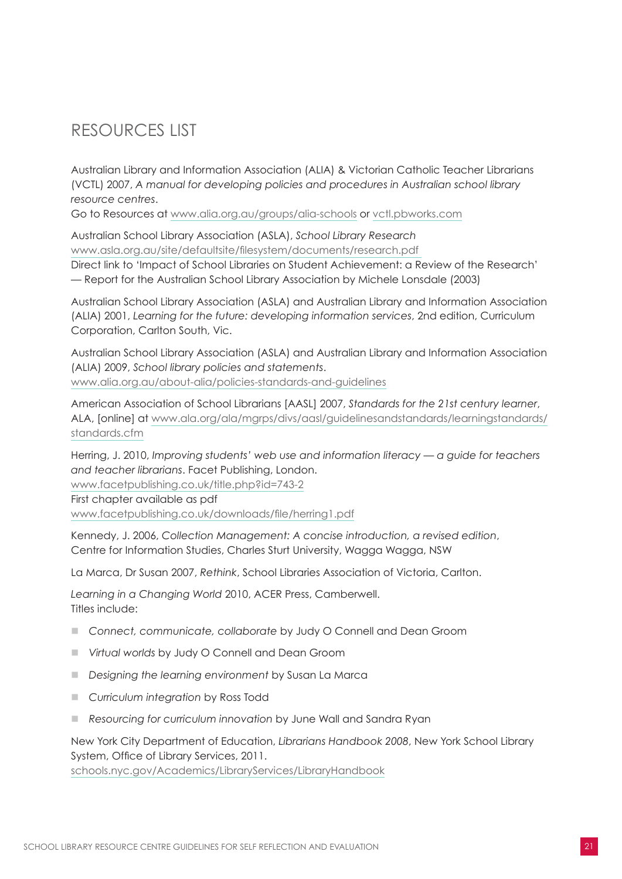# RESOURCES LIST

Australian Library and Information Association (ALIA) & Victorian Catholic Teacher Librarians (VCTL) 2007, *A manual for developing policies and procedures in Australian school library resource centres*.

Go to Resources at www.alia.org.au/groups/alia-schools or [vctl.pbworks.com](http://vctl.pbworks.com)

Australian School Library Association (ASLA), *School Library Research* www.asla.org.au/site/defaultsite/filesystem/documents/research.pdf Direct link to 'Impact of School Libraries on Student Achievement: a Review of the Research' — Report for the Australian School Library Association by Michele Lonsdale (2003)

Australian School Library Association (ASLA) and Australian Library and Information Association (ALIA) 2001, *Learning for the future: developing information services*, 2nd edition, Curriculum Corporation, Carlton South, Vic.

Australian School Library Association (ASLA) and Australian Library and Information Association (ALIA) 2009, *School library policies and statements*. www.alia.org.au/about-alia/policies-standards-and-guidelines

American Association of School Librarians [AASL] 2007, *Standards for the 21st century learner*, ALA, [online] at [www.ala.org/ala/mgrps/divs/aasl/guidelinesandstandards/learningstandards/](http://www.ala.org/ala/mgrps/divs/aasl/guidelinesandstandards/learningstandards/standards.cfm) [standards.cfm](http://www.ala.org/ala/mgrps/divs/aasl/guidelinesandstandards/learningstandards/standards.cfm)

Herring, J. 2010, *Improving students' web use and information literacy — a guide for teachers and teacher librarians*. Facet Publishing, London.

[www.facetpublishing.co.uk/title.php?id=743-2](http://www.facetpublishing.co.uk/title.php?id=743-2)

First chapter available as pdf [www.facetpublishing.co.uk/downloads/file/herring1.pdf](http://www.facetpublishing.co.uk/downloads/file/herring1.pdf)

Kennedy, J. 2006, *Collection Management: A concise introduction, a revised edition*, Centre for Information Studies, Charles Sturt University, Wagga Wagga, NSW

La Marca, Dr Susan 2007, *Rethink*, School Libraries Association of Victoria, Carlton.

*Learning in a Changing World* 2010, ACER Press, Camberwell. Titles include:

- Connect, communicate, collaborate by Judy O Connell and Dean Groom
- *Virtual worlds* by Judy O Connell and Dean Groom
- n *Designing the learning environment* by Susan La Marca
- **n** *Curriculum integration* by Ross Todd
- Resourcing for curriculum innovation by June Wall and Sandra Ryan

New York City Department of Education, *Librarians Handbook 2008*, New York School Library System, Office of Library Services, 2011.

[schools.nyc.gov/Academics/LibraryServices/LibraryHandbook](http://schools.nyc.gov/Academics/LibraryServices/LibraryHandbook)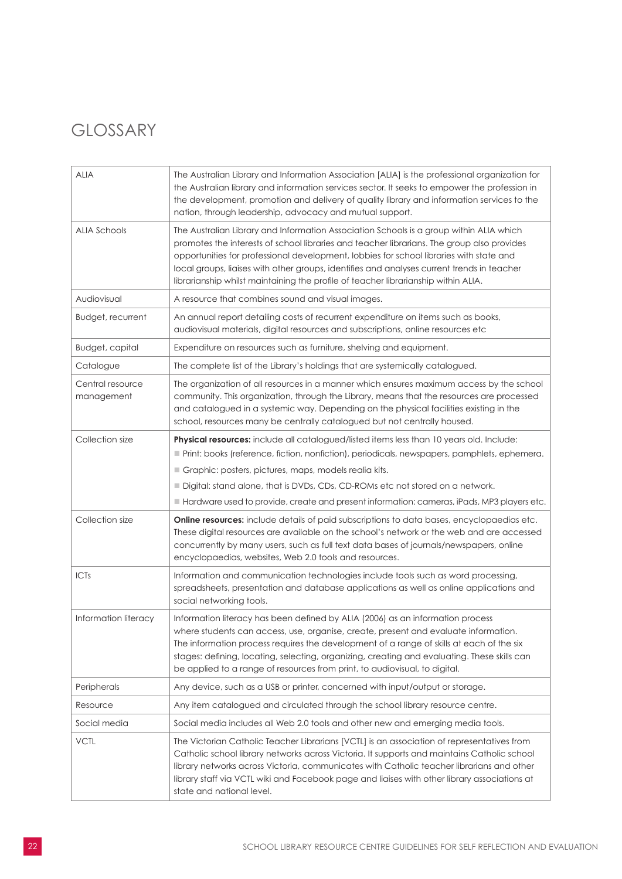# GLOSSARY

| <b>ALIA</b>                    | The Australian Library and Information Association [ALIA] is the professional organization for<br>the Australian library and information services sector. It seeks to empower the profession in<br>the development, promotion and delivery of quality library and information services to the<br>nation, through leadership, advocacy and mutual support.                                                                                                            |
|--------------------------------|----------------------------------------------------------------------------------------------------------------------------------------------------------------------------------------------------------------------------------------------------------------------------------------------------------------------------------------------------------------------------------------------------------------------------------------------------------------------|
| <b>ALIA Schools</b>            | The Australian Library and Information Association Schools is a group within ALIA which<br>promotes the interests of school libraries and teacher librarians. The group also provides<br>opportunities for professional development, lobbies for school libraries with state and<br>local groups, liaises with other groups, identifies and analyses current trends in teacher<br>librarianship whilst maintaining the profile of teacher librarianship within ALIA. |
| Audiovisual                    | A resource that combines sound and visual images.                                                                                                                                                                                                                                                                                                                                                                                                                    |
| Budget, recurrent              | An annual report detailing costs of recurrent expenditure on items such as books,<br>audiovisual materials, digital resources and subscriptions, online resources etc                                                                                                                                                                                                                                                                                                |
| Budget, capital                | Expenditure on resources such as furniture, shelving and equipment.                                                                                                                                                                                                                                                                                                                                                                                                  |
| Catalogue                      | The complete list of the Library's holdings that are systemically catalogued.                                                                                                                                                                                                                                                                                                                                                                                        |
| Central resource<br>management | The organization of all resources in a manner which ensures maximum access by the school<br>community. This organization, through the Library, means that the resources are processed<br>and catalogued in a systemic way. Depending on the physical facilities existing in the<br>school, resources many be centrally catalogued but not centrally housed.                                                                                                          |
| Collection size                | Physical resources: include all catalogued/listed items less than 10 years old. Include:                                                                                                                                                                                                                                                                                                                                                                             |
|                                | Print: books (reference, fiction, nonfiction), periodicals, newspapers, pamphlets, ephemera.                                                                                                                                                                                                                                                                                                                                                                         |
|                                | Graphic: posters, pictures, maps, models realia kits.                                                                                                                                                                                                                                                                                                                                                                                                                |
|                                | Digital: stand alone, that is DVDs, CDs, CD-ROMs etc not stored on a network.                                                                                                                                                                                                                                                                                                                                                                                        |
|                                | Hardware used to provide, create and present information: cameras, iPads, MP3 players etc.                                                                                                                                                                                                                                                                                                                                                                           |
| Collection size                | <b>Online resources:</b> include details of paid subscriptions to data bases, encyclopaedias etc.<br>These digital resources are available on the school's network or the web and are accessed<br>concurrently by many users, such as full text data bases of journals/newspapers, online<br>encyclopaedias, websites, Web 2.0 tools and resources.                                                                                                                  |
| <b>ICTs</b>                    | Information and communication technologies include tools such as word processing,<br>spreadsheets, presentation and database applications as well as online applications and<br>social networking tools.                                                                                                                                                                                                                                                             |
| Information literacy           | Information literacy has been defined by ALIA (2006) as an information process<br>where students can access, use, organise, create, present and evaluate information.<br>The information process requires the development of a range of skills at each of the six<br>stages: defining, locating, selecting, organizing, creating and evaluating. These skills can<br>be applied to a range of resources from print, to audiovisual, to digital.                      |
| Peripherals                    | Any device, such as a USB or printer, concerned with input/output or storage.                                                                                                                                                                                                                                                                                                                                                                                        |
| Resource                       | Any item catalogued and circulated through the school library resource centre.                                                                                                                                                                                                                                                                                                                                                                                       |
| Social media                   | Social media includes all Web 2.0 tools and other new and emerging media tools.                                                                                                                                                                                                                                                                                                                                                                                      |
| <b>VCTL</b>                    | The Victorian Catholic Teacher Librarians [VCTL] is an association of representatives from<br>Catholic school library networks across Victoria. It supports and maintains Catholic school<br>library networks across Victoria, communicates with Catholic teacher librarians and other<br>library staff via VCTL wiki and Facebook page and liaises with other library associations at<br>state and national level.                                                  |